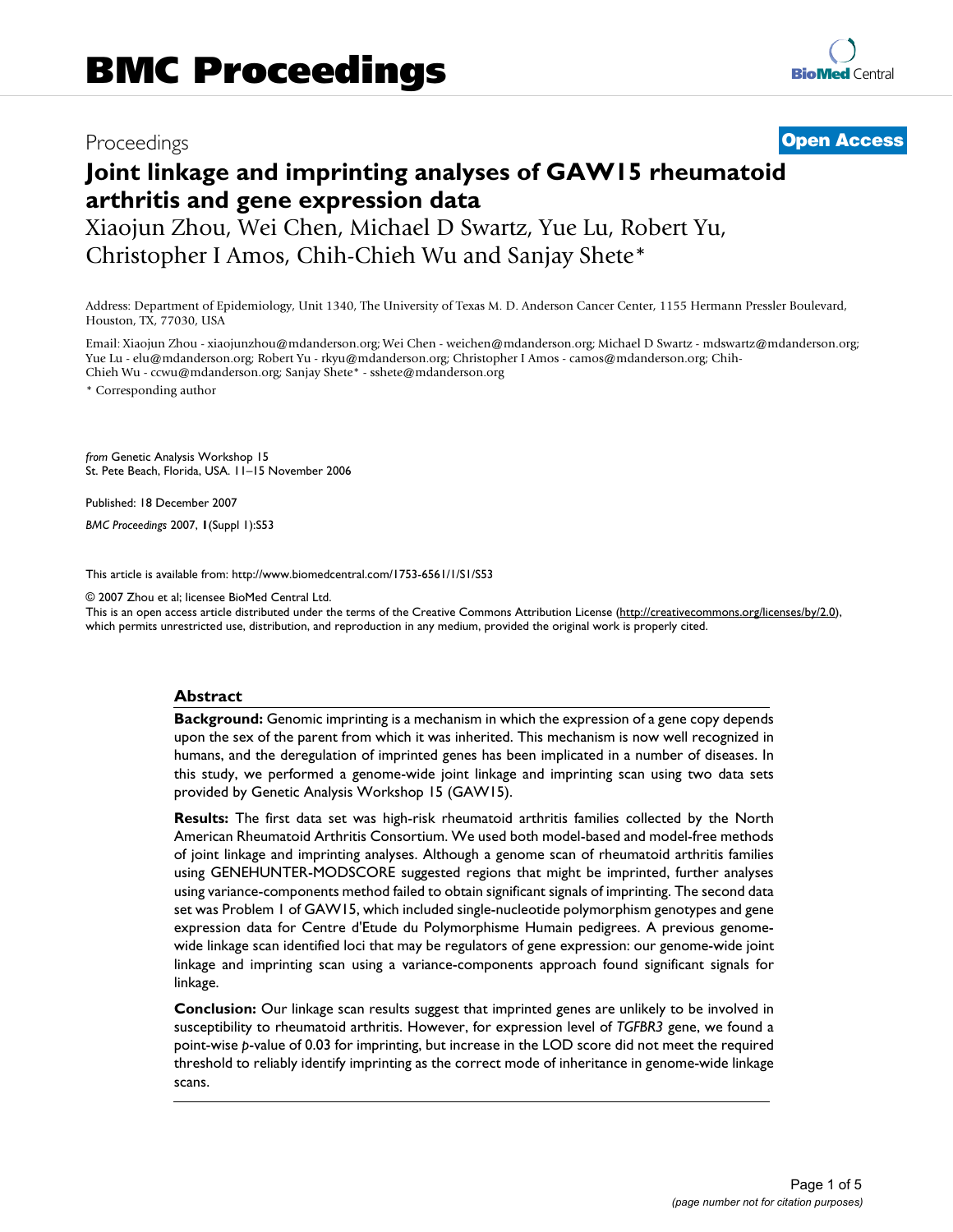## Proceedings **[Open Access](http://www.biomedcentral.com/info/about/charter/)**

# **Joint linkage and imprinting analyses of GAW15 rheumatoid arthritis and gene expression data**

Xiaojun Zhou, Wei Chen, Michael D Swartz, Yue Lu, Robert Yu, Christopher I Amos, Chih-Chieh Wu and Sanjay Shete\*

Address: Department of Epidemiology, Unit 1340, The University of Texas M. D. Anderson Cancer Center, 1155 Hermann Pressler Boulevard, Houston, TX, 77030, USA

Email: Xiaojun Zhou - xiaojunzhou@mdanderson.org; Wei Chen - weichen@mdanderson.org; Michael D Swartz - mdswartz@mdanderson.org; Yue Lu - elu@mdanderson.org; Robert Yu - rkyu@mdanderson.org; Christopher I Amos - camos@mdanderson.org; Chih-Chieh Wu - ccwu@mdanderson.org; Sanjay Shete\* - sshete@mdanderson.org

\* Corresponding author

*from* Genetic Analysis Workshop 15 St. Pete Beach, Florida, USA. 11–15 November 2006

Published: 18 December 2007

*BMC Proceedings* 2007, **1**(Suppl 1):S53

[This article is available from: http://www.biomedcentral.com/1753-6561/1/S1/S53](http://www.biomedcentral.com/1753-6561/1/S1/S53)

© 2007 Zhou et al; licensee BioMed Central Ltd.

This is an open access article distributed under the terms of the Creative Commons Attribution License [\(http://creativecommons.org/licenses/by/2.0\)](http://creativecommons.org/licenses/by/2.0), which permits unrestricted use, distribution, and reproduction in any medium, provided the original work is properly cited.

#### **Abstract**

**Background:** Genomic imprinting is a mechanism in which the expression of a gene copy depends upon the sex of the parent from which it was inherited. This mechanism is now well recognized in humans, and the deregulation of imprinted genes has been implicated in a number of diseases. In this study, we performed a genome-wide joint linkage and imprinting scan using two data sets provided by Genetic Analysis Workshop 15 (GAW15).

**Results:** The first data set was high-risk rheumatoid arthritis families collected by the North American Rheumatoid Arthritis Consortium. We used both model-based and model-free methods of joint linkage and imprinting analyses. Although a genome scan of rheumatoid arthritis families using GENEHUNTER-MODSCORE suggested regions that might be imprinted, further analyses using variance-components method failed to obtain significant signals of imprinting. The second data set was Problem 1 of GAW15, which included single-nucleotide polymorphism genotypes and gene expression data for Centre d'Etude du Polymorphisme Humain pedigrees. A previous genomewide linkage scan identified loci that may be regulators of gene expression: our genome-wide joint linkage and imprinting scan using a variance-components approach found significant signals for linkage.

**Conclusion:** Our linkage scan results suggest that imprinted genes are unlikely to be involved in susceptibility to rheumatoid arthritis. However, for expression level of *TGFBR3* gene, we found a point-wise *p*-value of 0.03 for imprinting, but increase in the LOD score did not meet the required threshold to reliably identify imprinting as the correct mode of inheritance in genome-wide linkage scans.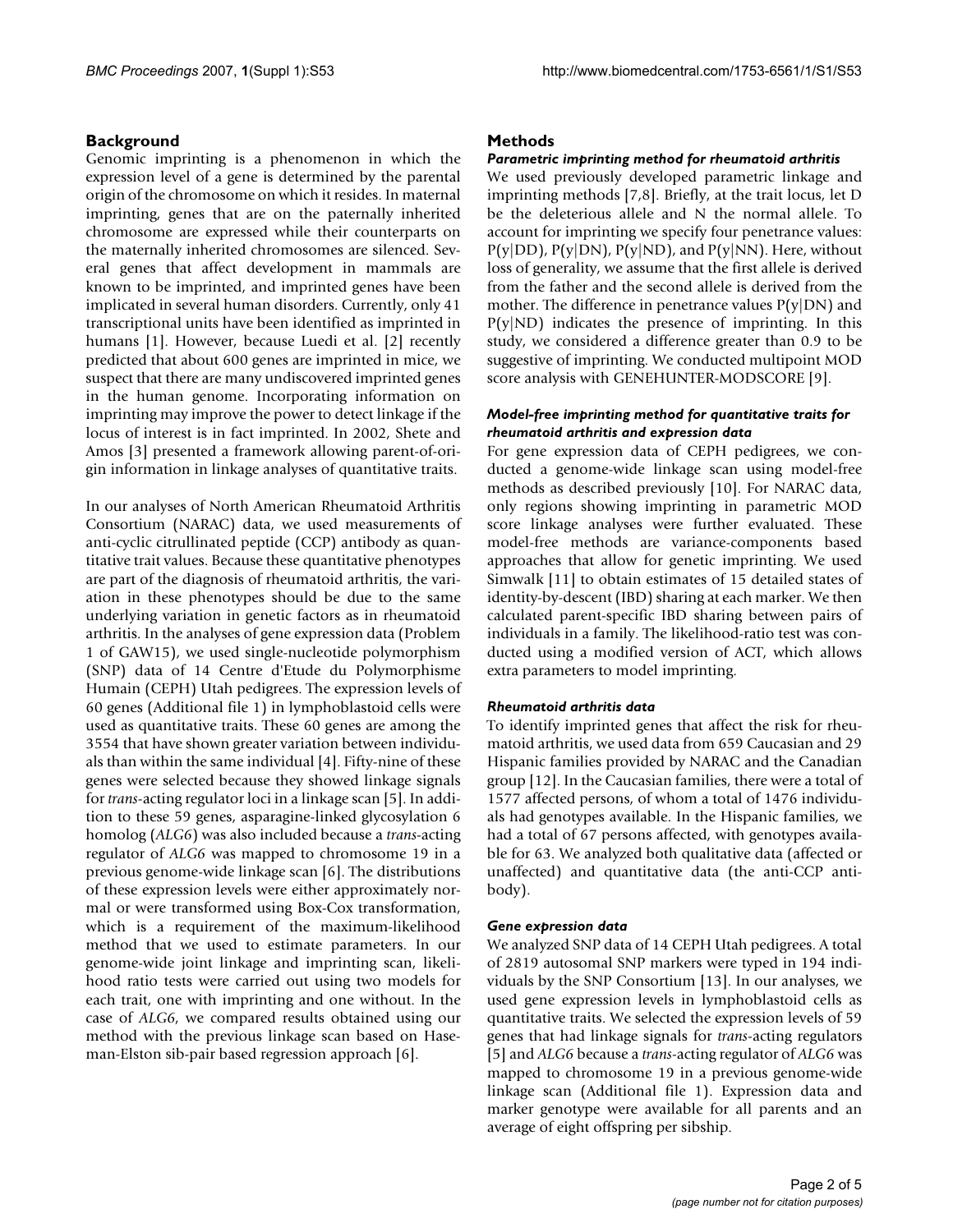#### **Background**

Genomic imprinting is a phenomenon in which the expression level of a gene is determined by the parental origin of the chromosome on which it resides. In maternal imprinting, genes that are on the paternally inherited chromosome are expressed while their counterparts on the maternally inherited chromosomes are silenced. Several genes that affect development in mammals are known to be imprinted, and imprinted genes have been implicated in several human disorders. Currently, only 41 transcriptional units have been identified as imprinted in humans [1]. However, because Luedi et al. [2] recently predicted that about 600 genes are imprinted in mice, we suspect that there are many undiscovered imprinted genes in the human genome. Incorporating information on imprinting may improve the power to detect linkage if the locus of interest is in fact imprinted. In 2002, Shete and Amos [3] presented a framework allowing parent-of-origin information in linkage analyses of quantitative traits.

In our analyses of North American Rheumatoid Arthritis Consortium (NARAC) data, we used measurements of anti-cyclic citrullinated peptide (CCP) antibody as quantitative trait values. Because these quantitative phenotypes are part of the diagnosis of rheumatoid arthritis, the variation in these phenotypes should be due to the same underlying variation in genetic factors as in rheumatoid arthritis. In the analyses of gene expression data (Problem 1 of GAW15), we used single-nucleotide polymorphism (SNP) data of 14 Centre d'Etude du Polymorphisme Humain (CEPH) Utah pedigrees. The expression levels of 60 genes (Additional file 1) in lymphoblastoid cells were used as quantitative traits. These 60 genes are among the 3554 that have shown greater variation between individuals than within the same individual [4]. Fifty-nine of these genes were selected because they showed linkage signals for *trans*-acting regulator loci in a linkage scan [5]. In addition to these 59 genes, asparagine-linked glycosylation 6 homolog (*ALG6*) was also included because a *trans*-acting regulator of *ALG6* was mapped to chromosome 19 in a previous genome-wide linkage scan [6]. The distributions of these expression levels were either approximately normal or were transformed using Box-Cox transformation, which is a requirement of the maximum-likelihood method that we used to estimate parameters. In our genome-wide joint linkage and imprinting scan, likelihood ratio tests were carried out using two models for each trait, one with imprinting and one without. In the case of *ALG6*, we compared results obtained using our method with the previous linkage scan based on Haseman-Elston sib-pair based regression approach [6].

#### **Methods**

#### *Parametric imprinting method for rheumatoid arthritis*

We used previously developed parametric linkage and imprinting methods [7,8]. Briefly, at the trait locus, let D be the deleterious allele and N the normal allele. To account for imprinting we specify four penetrance values:  $P(y|DD)$ ,  $P(y|DN)$ ,  $P(y|ND)$ , and  $P(y|NN)$ . Here, without loss of generality, we assume that the first allele is derived from the father and the second allele is derived from the mother. The difference in penetrance values  $P(y|DN)$  and  $P(y|ND)$  indicates the presence of imprinting. In this study, we considered a difference greater than 0.9 to be suggestive of imprinting. We conducted multipoint MOD score analysis with GENEHUNTER-MODSCORE [9].

### *Model-free imprinting method for quantitative traits for rheumatoid arthritis and expression data*

For gene expression data of CEPH pedigrees, we conducted a genome-wide linkage scan using model-free methods as described previously [10]. For NARAC data, only regions showing imprinting in parametric MOD score linkage analyses were further evaluated. These model-free methods are variance-components based approaches that allow for genetic imprinting. We used Simwalk [11] to obtain estimates of 15 detailed states of identity-by-descent (IBD) sharing at each marker. We then calculated parent-specific IBD sharing between pairs of individuals in a family. The likelihood-ratio test was conducted using a modified version of ACT, which allows extra parameters to model imprinting.

#### *Rheumatoid arthritis data*

To identify imprinted genes that affect the risk for rheumatoid arthritis, we used data from 659 Caucasian and 29 Hispanic families provided by NARAC and the Canadian group [12]. In the Caucasian families, there were a total of 1577 affected persons, of whom a total of 1476 individuals had genotypes available. In the Hispanic families, we had a total of 67 persons affected, with genotypes available for 63. We analyzed both qualitative data (affected or unaffected) and quantitative data (the anti-CCP antibody).

#### *Gene expression data*

We analyzed SNP data of 14 CEPH Utah pedigrees. A total of 2819 autosomal SNP markers were typed in 194 individuals by the SNP Consortium [13]. In our analyses, we used gene expression levels in lymphoblastoid cells as quantitative traits. We selected the expression levels of 59 genes that had linkage signals for *trans*-acting regulators [5] and *ALG6* because a *trans*-acting regulator of *ALG6* was mapped to chromosome 19 in a previous genome-wide linkage scan (Additional file 1). Expression data and marker genotype were available for all parents and an average of eight offspring per sibship.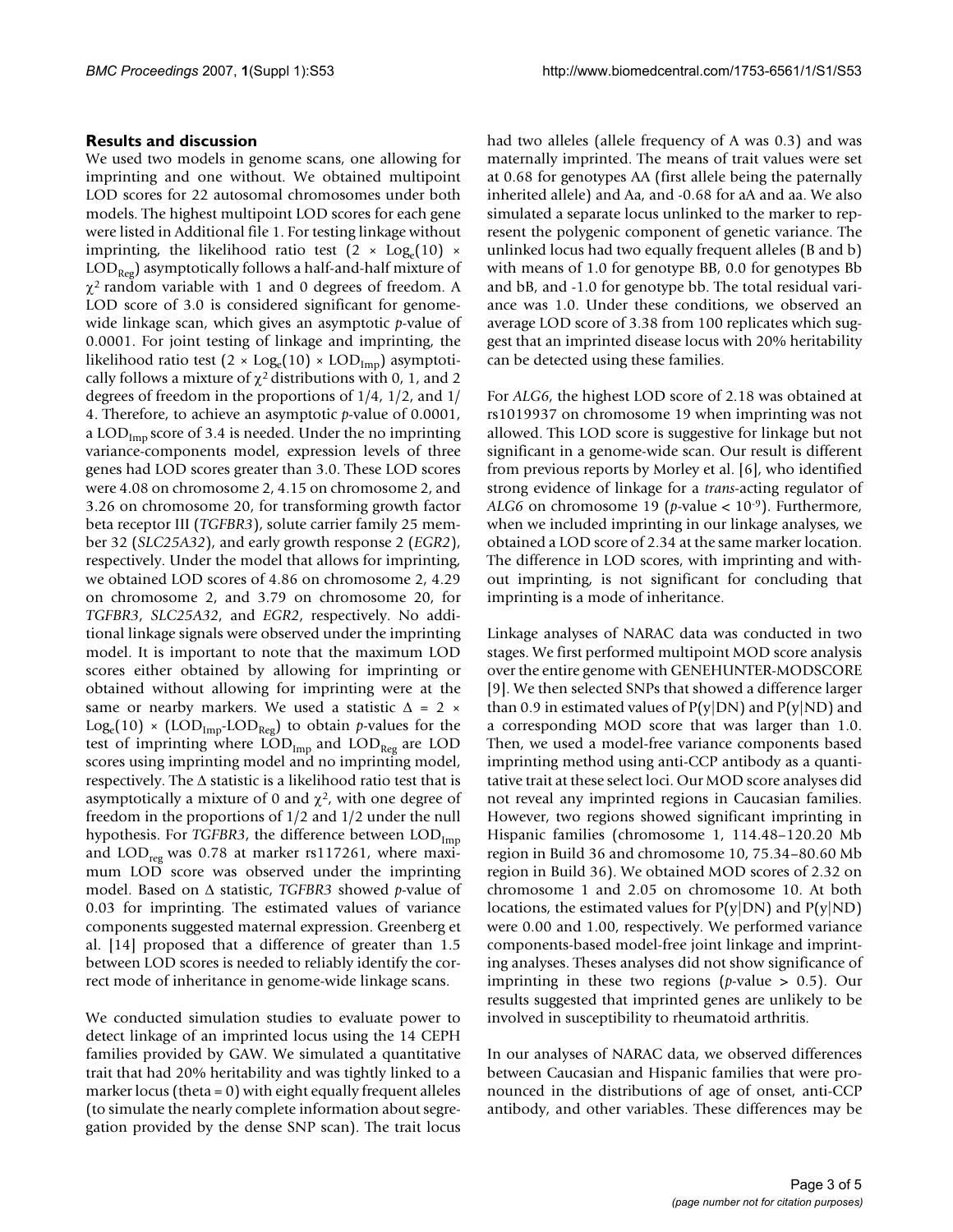#### **Results and discussion**

We used two models in genome scans, one allowing for imprinting and one without. We obtained multipoint LOD scores for 22 autosomal chromosomes under both models. The highest multipoint LOD scores for each gene were listed in Additional file 1. For testing linkage without imprinting, the likelihood ratio test  $(2 \times Log_e(10) \times$  $\text{LOD}_{\text{Reg}}$ ) asymptotically follows a half-and-half mixture of  $\chi^2$  random variable with 1 and 0 degrees of freedom. A LOD score of 3.0 is considered significant for genomewide linkage scan, which gives an asymptotic *p*-value of 0.0001. For joint testing of linkage and imprinting, the likelihood ratio test  $(2 \times Log_e(10) \times LOD_{Imp})$  asymptotically follows a mixture of  $\chi^2$  distributions with 0, 1, and 2 degrees of freedom in the proportions of 1/4, 1/2, and 1/ 4. Therefore, to achieve an asymptotic *p*-value of 0.0001, a  $\text{LOD}_{\text{Imp}}$  score of 3.4 is needed. Under the no imprinting variance-components model, expression levels of three genes had LOD scores greater than 3.0. These LOD scores were 4.08 on chromosome 2, 4.15 on chromosome 2, and 3.26 on chromosome 20, for transforming growth factor beta receptor III (*TGFBR3*), solute carrier family 25 member 32 (*SLC25A32*), and early growth response 2 (*EGR2*), respectively. Under the model that allows for imprinting, we obtained LOD scores of 4.86 on chromosome 2, 4.29 on chromosome 2, and 3.79 on chromosome 20, for *TGFBR3*, *SLC25A32*, and *EGR2*, respectively. No additional linkage signals were observed under the imprinting model. It is important to note that the maximum LOD scores either obtained by allowing for imprinting or obtained without allowing for imprinting were at the same or nearby markers. We used a statistic  $\Delta = 2 \times$  $Log_e(10) \times (LOD_{Imp}\text{-}LOD_{Reg})$  to obtain *p*-values for the test of imprinting where  $\text{LOD}_{\text{Imp}}$  and  $\text{LOD}_{\text{Reg}}$  are  $\text{LOD}_{\text{Rep}}$ scores using imprinting model and no imprinting model, respectively. The  $\Delta$  statistic is a likelihood ratio test that is asymptotically a mixture of 0 and  $\chi^2$ , with one degree of freedom in the proportions of 1/2 and 1/2 under the null hypothesis. For *TGFBR3*, the difference between  $\text{LOD}_{\text{Imp}}$ and  $\text{LOD}_{\text{reg}}$  was 0.78 at marker rs117261, where maximum LOD score was observed under the imprinting model. Based on Δ statistic, *TGFBR3* showed *p*-value of 0.03 for imprinting. The estimated values of variance components suggested maternal expression. Greenberg et al. [14] proposed that a difference of greater than 1.5 between LOD scores is needed to reliably identify the correct mode of inheritance in genome-wide linkage scans.

We conducted simulation studies to evaluate power to detect linkage of an imprinted locus using the 14 CEPH families provided by GAW. We simulated a quantitative trait that had 20% heritability and was tightly linked to a marker locus (theta =  $0$ ) with eight equally frequent alleles (to simulate the nearly complete information about segregation provided by the dense SNP scan). The trait locus had two alleles (allele frequency of A was 0.3) and was maternally imprinted. The means of trait values were set at 0.68 for genotypes AA (first allele being the paternally inherited allele) and Aa, and -0.68 for aA and aa. We also simulated a separate locus unlinked to the marker to represent the polygenic component of genetic variance. The unlinked locus had two equally frequent alleles (B and b) with means of 1.0 for genotype BB, 0.0 for genotypes Bb and bB, and -1.0 for genotype bb. The total residual variance was 1.0. Under these conditions, we observed an average LOD score of 3.38 from 100 replicates which suggest that an imprinted disease locus with 20% heritability can be detected using these families.

For *ALG6*, the highest LOD score of 2.18 was obtained at rs1019937 on chromosome 19 when imprinting was not allowed. This LOD score is suggestive for linkage but not significant in a genome-wide scan. Our result is different from previous reports by Morley et al. [6], who identified strong evidence of linkage for a *trans*-acting regulator of *ALG6* on chromosome 19 (*p*-value < 10-9). Furthermore, when we included imprinting in our linkage analyses, we obtained a LOD score of 2.34 at the same marker location. The difference in LOD scores, with imprinting and without imprinting, is not significant for concluding that imprinting is a mode of inheritance.

Linkage analyses of NARAC data was conducted in two stages. We first performed multipoint MOD score analysis over the entire genome with GENEHUNTER-MODSCORE [9]. We then selected SNPs that showed a difference larger than 0.9 in estimated values of  $P(y|DN)$  and  $P(y|ND)$  and a corresponding MOD score that was larger than 1.0. Then, we used a model-free variance components based imprinting method using anti-CCP antibody as a quantitative trait at these select loci. Our MOD score analyses did not reveal any imprinted regions in Caucasian families. However, two regions showed significant imprinting in Hispanic families (chromosome 1, 114.48–120.20 Mb region in Build 36 and chromosome 10, 75.34–80.60 Mb region in Build 36). We obtained MOD scores of 2.32 on chromosome 1 and 2.05 on chromosome 10. At both locations, the estimated values for  $P(y|DN)$  and  $P(y|ND)$ were 0.00 and 1.00, respectively. We performed variance components-based model-free joint linkage and imprinting analyses. Theses analyses did not show significance of imprinting in these two regions (*p*-value > 0.5). Our results suggested that imprinted genes are unlikely to be involved in susceptibility to rheumatoid arthritis.

In our analyses of NARAC data, we observed differences between Caucasian and Hispanic families that were pronounced in the distributions of age of onset, anti-CCP antibody, and other variables. These differences may be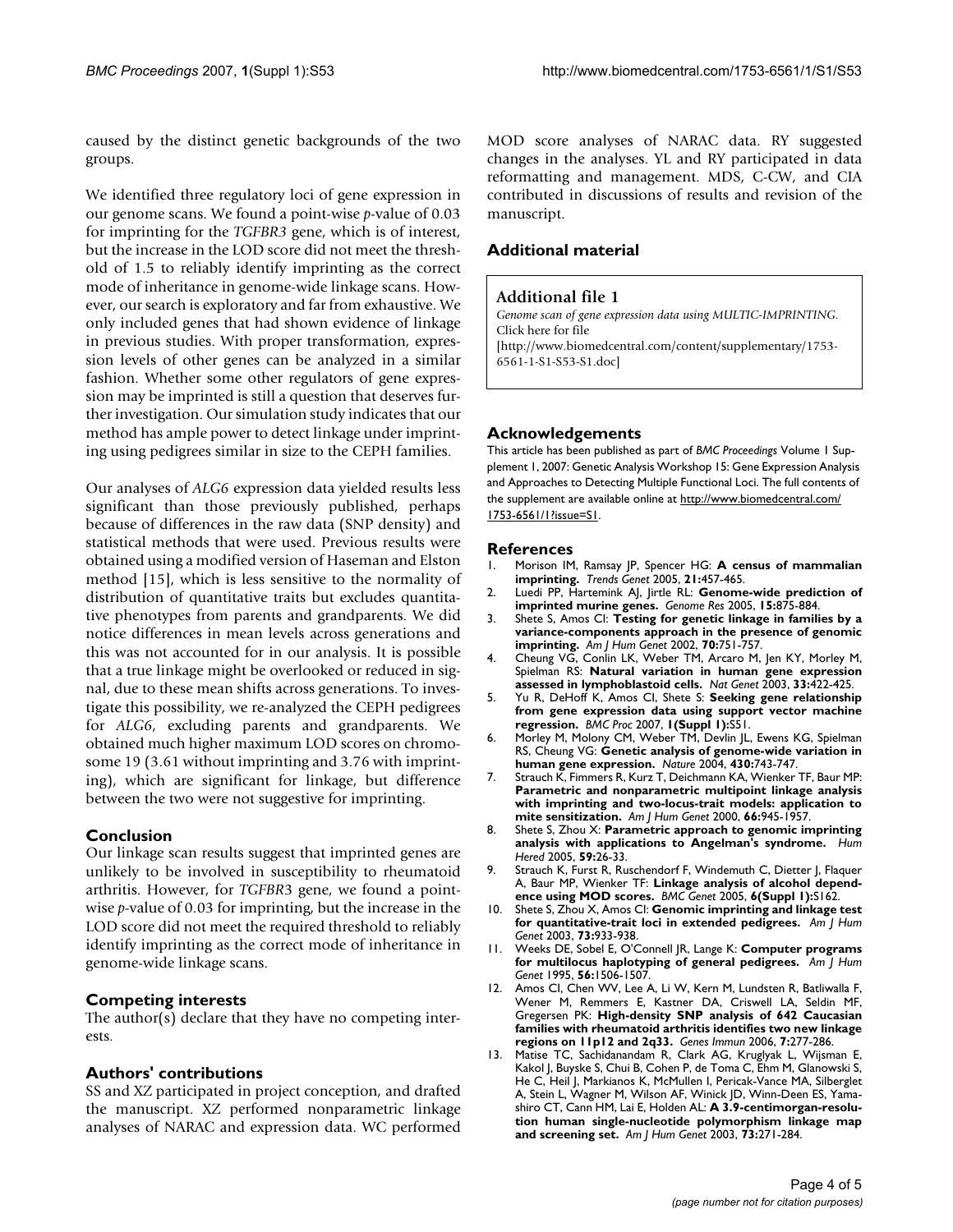caused by the distinct genetic backgrounds of the two groups.

We identified three regulatory loci of gene expression in our genome scans. We found a point-wise *p*-value of 0.03 for imprinting for the *TGFBR3* gene, which is of interest, but the increase in the LOD score did not meet the threshold of 1.5 to reliably identify imprinting as the correct mode of inheritance in genome-wide linkage scans. However, our search is exploratory and far from exhaustive. We only included genes that had shown evidence of linkage in previous studies. With proper transformation, expression levels of other genes can be analyzed in a similar fashion. Whether some other regulators of gene expression may be imprinted is still a question that deserves further investigation. Our simulation study indicates that our method has ample power to detect linkage under imprinting using pedigrees similar in size to the CEPH families.

Our analyses of *ALG6* expression data yielded results less significant than those previously published, perhaps because of differences in the raw data (SNP density) and statistical methods that were used. Previous results were obtained using a modified version of Haseman and Elston method [15], which is less sensitive to the normality of distribution of quantitative traits but excludes quantitative phenotypes from parents and grandparents. We did notice differences in mean levels across generations and this was not accounted for in our analysis. It is possible that a true linkage might be overlooked or reduced in signal, due to these mean shifts across generations. To investigate this possibility, we re-analyzed the CEPH pedigrees for *ALG6*, excluding parents and grandparents. We obtained much higher maximum LOD scores on chromosome 19 (3.61 without imprinting and 3.76 with imprinting), which are significant for linkage, but difference between the two were not suggestive for imprinting.

#### **Conclusion**

Our linkage scan results suggest that imprinted genes are unlikely to be involved in susceptibility to rheumatoid arthritis. However, for *TGFBR*3 gene, we found a pointwise *p*-value of 0.03 for imprinting, but the increase in the LOD score did not meet the required threshold to reliably identify imprinting as the correct mode of inheritance in genome-wide linkage scans.

#### **Competing interests**

The author(s) declare that they have no competing interests.

### **Authors' contributions**

SS and XZ participated in project conception, and drafted the manuscript. XZ performed nonparametric linkage analyses of NARAC and expression data. WC performed MOD score analyses of NARAC data. RY suggested changes in the analyses. YL and RY participated in data reformatting and management. MDS, C-CW, and CIA contributed in discussions of results and revision of the manuscript.

#### **Additional material**

#### **Additional file 1**

*Genome scan of gene expression data using MULTIC-IMPRINTING.* Click here for file [\[http://www.biomedcentral.com/content/supplementary/1753-](http://www.biomedcentral.com/content/supplementary/1753-6561-1-S1-S53-S1.doc) 6561-1-S1-S53-S1.doc]

#### **Acknowledgements**

This article has been published as part of *BMC Proceedings* Volume 1 Supplement 1, 2007: Genetic Analysis Workshop 15: Gene Expression Analysis and Approaches to Detecting Multiple Functional Loci. The full contents of the supplement are available online at [http://www.biomedcentral.com/](http://www.biomedcentral.com/1753-6561/1?issue=S1) [1753-6561/1?issue=S1.](http://www.biomedcentral.com/1753-6561/1?issue=S1)

#### **References**

- 1. Morison IM, Ramsay JP, Spencer HG: **[A census of mammalian](http://www.ncbi.nlm.nih.gov/entrez/query.fcgi?cmd=Retrieve&db=PubMed&dopt=Abstract&list_uids=15990197) [imprinting.](http://www.ncbi.nlm.nih.gov/entrez/query.fcgi?cmd=Retrieve&db=PubMed&dopt=Abstract&list_uids=15990197)** *Trends Genet* 2005, **21:**457-465.
- 2. Luedi PP, Hartemink AJ, Jirtle RL: **[Genome-wide prediction of](http://www.ncbi.nlm.nih.gov/entrez/query.fcgi?cmd=Retrieve&db=PubMed&dopt=Abstract&list_uids=15930497) [imprinted murine genes.](http://www.ncbi.nlm.nih.gov/entrez/query.fcgi?cmd=Retrieve&db=PubMed&dopt=Abstract&list_uids=15930497)** *Genome Res* 2005, **15:**875-884.
- 3. Shete S, Amos CI: **[Testing for genetic linkage in families by a](http://www.ncbi.nlm.nih.gov/entrez/query.fcgi?cmd=Retrieve&db=PubMed&dopt=Abstract&list_uids=11836650) [variance-components approach in the presence of genomic](http://www.ncbi.nlm.nih.gov/entrez/query.fcgi?cmd=Retrieve&db=PubMed&dopt=Abstract&list_uids=11836650) [imprinting.](http://www.ncbi.nlm.nih.gov/entrez/query.fcgi?cmd=Retrieve&db=PubMed&dopt=Abstract&list_uids=11836650)** *Am J Hum Genet* 2002, **70:**751-757.
- 4. Cheung VG, Conlin LK, Weber TM, Arcaro M, Jen KY, Morley M, Spielman RS: **[Natural variation in human gene expression](http://www.ncbi.nlm.nih.gov/entrez/query.fcgi?cmd=Retrieve&db=PubMed&dopt=Abstract&list_uids=12567189) [assessed in lymphoblastoid cells.](http://www.ncbi.nlm.nih.gov/entrez/query.fcgi?cmd=Retrieve&db=PubMed&dopt=Abstract&list_uids=12567189)** *Nat Genet* 2003, **33:**422-425.
- 5. Yu R, DeHoff K, Amos CI, Shete S: **Seeking gene relationship from gene expression data using support vector machine regression.** *BMC Proc* 2007, **1(Suppl 1):**S51.
- 6. Morley M, Molony CM, Weber TM, Devlin JL, Ewens KG, Spielman RS, Cheung VG: **[Genetic analysis of genome-wide variation in](http://www.ncbi.nlm.nih.gov/entrez/query.fcgi?cmd=Retrieve&db=PubMed&dopt=Abstract&list_uids=15269782) [human gene expression.](http://www.ncbi.nlm.nih.gov/entrez/query.fcgi?cmd=Retrieve&db=PubMed&dopt=Abstract&list_uids=15269782)** *Nature* 2004, **430:**743-747.
- 7. Strauch K, Fimmers R, Kurz T, Deichmann KA, Wienker TF, Baur MP: **[Parametric and nonparametric multipoint linkage analysis](http://www.ncbi.nlm.nih.gov/entrez/query.fcgi?cmd=Retrieve&db=PubMed&dopt=Abstract&list_uids=10712209) with imprinting and two-locus-trait models: application to [mite sensitization.](http://www.ncbi.nlm.nih.gov/entrez/query.fcgi?cmd=Retrieve&db=PubMed&dopt=Abstract&list_uids=10712209)** *Am J Hum Genet* 2000, **66:**945-1957.
- 8. Shete S, Zhou X: **[Parametric approach to genomic imprinting](http://www.ncbi.nlm.nih.gov/entrez/query.fcgi?cmd=Retrieve&db=PubMed&dopt=Abstract&list_uids=15802919) [analysis with applications to Angelman's syndrome.](http://www.ncbi.nlm.nih.gov/entrez/query.fcgi?cmd=Retrieve&db=PubMed&dopt=Abstract&list_uids=15802919)** *Hum Hered* 2005, **59:**26-33.
- 9. Strauch K, Furst R, Ruschendorf F, Windemuth C, Dietter J, Flaquer A, Baur MP, Wienker TF: **[Linkage analysis of alcohol depend](http://www.ncbi.nlm.nih.gov/entrez/query.fcgi?cmd=Retrieve&db=PubMed&dopt=Abstract&list_uids=16451624)[ence using MOD scores.](http://www.ncbi.nlm.nih.gov/entrez/query.fcgi?cmd=Retrieve&db=PubMed&dopt=Abstract&list_uids=16451624)** *BMC Genet* 2005, **6(Suppl 1):**S162.
- 10. Shete S, Zhou X, Amos CI: **[Genomic imprinting and linkage test](http://www.ncbi.nlm.nih.gov/entrez/query.fcgi?cmd=Retrieve&db=PubMed&dopt=Abstract&list_uids=13680523) [for quantitative-trait loci in extended pedigrees.](http://www.ncbi.nlm.nih.gov/entrez/query.fcgi?cmd=Retrieve&db=PubMed&dopt=Abstract&list_uids=13680523)** *Am J Hum Genet* 2003, **73:**933-938.
- 11. Weeks DE, Sobel E, O'Connell JR, Lange K: **[Computer programs](http://www.ncbi.nlm.nih.gov/entrez/query.fcgi?cmd=Retrieve&db=PubMed&dopt=Abstract&list_uids=7762577) [for multilocus haplotyping of general pedigrees.](http://www.ncbi.nlm.nih.gov/entrez/query.fcgi?cmd=Retrieve&db=PubMed&dopt=Abstract&list_uids=7762577)** *Am J Hum Genet* 1995, **56:**1506-1507.
- 12. Amos CI, Chen WV, Lee A, Li W, Kern M, Lundsten R, Batliwalla F, Wener M, Remmers E, Kastner DA, Criswell LA, Seldin MF, Gregersen PK: **[High-density SNP analysis of 642 Caucasian](http://www.ncbi.nlm.nih.gov/entrez/query.fcgi?cmd=Retrieve&db=PubMed&dopt=Abstract&list_uids=16691188) [families with rheumatoid arthritis identifies two new linkage](http://www.ncbi.nlm.nih.gov/entrez/query.fcgi?cmd=Retrieve&db=PubMed&dopt=Abstract&list_uids=16691188) [regions on 11p12 and 2q33.](http://www.ncbi.nlm.nih.gov/entrez/query.fcgi?cmd=Retrieve&db=PubMed&dopt=Abstract&list_uids=16691188)** *Genes Immun* 2006, **7:**277-286.
- 13. Matise TC, Sachidanandam R, Clark AG, Kruglyak L, Wijsman E, Kakol J, Buyske S, Chui B, Cohen P, de Toma C, Ehm M, Glanowski S, He C, Heil J, Markianos K, McMullen I, Pericak-Vance MA, Silberglet A, Stein L, Wagner M, Wilson AF, Winick JD, Winn-Deen ES, Yamashiro CT, Cann HM, Lai E, Holden AL: **[A 3.9-centimorgan-resolu](http://www.ncbi.nlm.nih.gov/entrez/query.fcgi?cmd=Retrieve&db=PubMed&dopt=Abstract&list_uids=12844283)[tion human single-nucleotide polymorphism linkage map](http://www.ncbi.nlm.nih.gov/entrez/query.fcgi?cmd=Retrieve&db=PubMed&dopt=Abstract&list_uids=12844283) [and screening set.](http://www.ncbi.nlm.nih.gov/entrez/query.fcgi?cmd=Retrieve&db=PubMed&dopt=Abstract&list_uids=12844283)** *Am J Hum Genet* 2003, **73:**271-284.